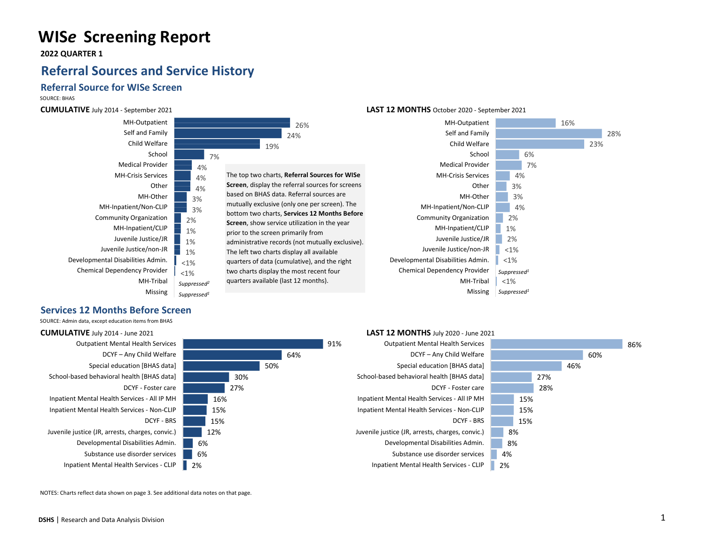# **WIS***e* **Screening Report**

 **2022 QUARTER 1**

## **Referral Sources and Service History**

### **Referral Source for WISe Screen**

SOURCE: BHAS

**CUMULATIVE** July 2014 - September 2021

**Services 12 Months Before Screen** SOURCE: Admin data, except education items from BHAS



### **LAST 12 MONTHS** October 2020 - September 2021



### **CUMULATIVE** July 2014 - June 2021 91% 64% Outpatient Mental Health Services DCYF – Any Child Welfare



50% 30% 27% Outpatient Mental Health Services

#### 60% 46% 27% 28% 15% 15% 15% 8% 8% 4% DCYF – Any Child Welfare Special education [BHAS data] School-based behavioral health [BHAS data] DCYF - Foster care Inpatient Mental Health Services - All IP MH Inpatient Mental Health Services - Non-CLIP DCYF - BRS Juvenile justice (JR, arrests, charges, convic.) Developmental Disabilities Admin. Substance use disorder services

2%

**LAST 12 MONTHS** July 2020 - June 2021

86%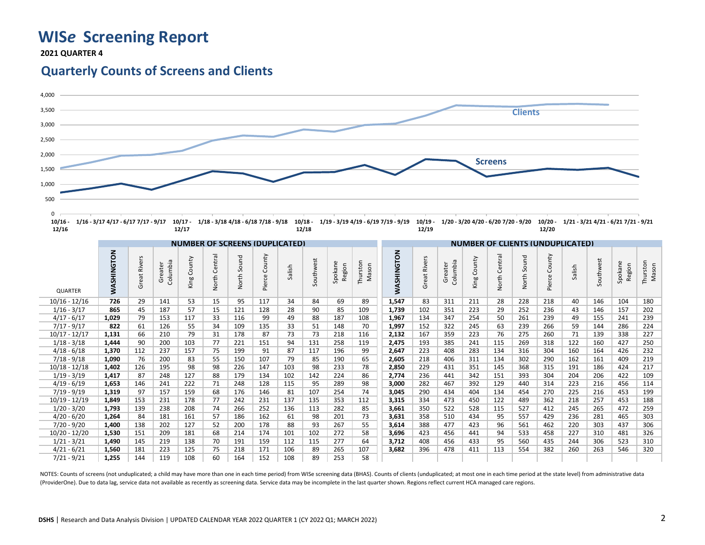# **WIS***e* **Screening Report**

 **2021 QUARTER 4**

## **Quarterly Counts of Screens and Clients**



| $-1.7 - 1.7$    |                   | ---<br>$-1$                           |                     |                |                      |                |                  |        |           |                   | $-1/1$<br>--, --  |                                         |                     |                     |                |                                                          |                       |                  |        |           |                   |                   |  |
|-----------------|-------------------|---------------------------------------|---------------------|----------------|----------------------|----------------|------------------|--------|-----------|-------------------|-------------------|-----------------------------------------|---------------------|---------------------|----------------|----------------------------------------------------------|-----------------------|------------------|--------|-----------|-------------------|-------------------|--|
|                 |                   | <b>NUMBER OF SCREENS (DUPLICATED)</b> |                     |                |                      |                |                  |        |           |                   |                   | <b>NUMBER OF CLIENTS (UNDUPLICATED)</b> |                     |                     |                |                                                          |                       |                  |        |           |                   |                   |  |
| <b>QUARTER</b>  | <b>WASHINGTON</b> | Great Rivers                          | Columbia<br>Greater | County<br>King | Central<br>orth<br>ž | Sound<br>North | County<br>Pierce | Salish | Southwest | Spokane<br>Region | Thurston<br>Mason | <b>WASHINGTON</b>                       | <b>Great Rivers</b> | Columbia<br>Greater | County<br>King | $\overline{\sigma}$<br>₽<br>$\overline{5}$<br>Ō<br>North | ъ<br>Š<br>So<br>North | County<br>Pierce | Salish | Southwest | Spokane<br>Region | Thurston<br>Mason |  |
| $10/16 - 12/16$ | 726               | 29                                    | 141                 | 53             | 15                   | 95             | 117              | 34     | 84        | 69                | 89                | 1.547                                   | 83                  | 311                 | 211            | 28                                                       | 228                   | 218              | 40     | 146       | 104               | 180               |  |
| $1/16 - 3/17$   | 865               | 45                                    | 187                 | 57             | 15                   | 121            | 128              | 28     | 90        | 85                | 109               | 1,739                                   | 102                 | 351                 | 223            | 29                                                       | 252                   | 236              | 43     | 146       | 157               | 202               |  |
| $4/17 - 6/17$   | 1.029             | 79                                    | 153                 | 117            | 33                   | 116            | 99               | 49     | 88        | 187               | 108               | 1,967                                   | 134                 | 347                 | 254            | 50                                                       | 261                   | 239              | 49     | 155       | 241               | 239               |  |
| $7/17 - 9/17$   | 822               | 61                                    | 126                 | 55             | 34                   | 109            | 135              | 33     | 51        | 148               | 70                | 1,997                                   | 152                 | 322                 | 245            | 63                                                       | 239                   | 266              | 59     | 144       | 286               | 224               |  |
| $10/17 - 12/17$ | 1,131             | 66                                    | 210                 | 79             | 31                   | 178            | 87               | 73     | 73        | 218               | 116               | 2,132                                   | 167                 | 359                 | 223            | 76                                                       | 275                   | 260              | 71     | 139       | 338               | 227               |  |
| $1/18 - 3/18$   | 1.444             | 90                                    | 200                 | 103            | 77                   | 221            | 151              | 94     | 131       | 258               | 119               | 2.475                                   | 193                 | 385                 | 241            | 115                                                      | 269                   | 318              | 122    | 160       | 427               | 250               |  |
| $4/18 - 6/18$   | 1,370             | 112                                   | 237                 | 157            | 75                   | 199            | 91               | 87     | 117       | 196               | 99                | 2.647                                   | 223                 | 408                 | 283            | 134                                                      | 316                   | 304              | 160    | 164       | 426               | 232               |  |
| $7/18 - 9/18$   | 1.090             | 76                                    | 200                 | 83             | 55                   | 150            | 107              | 79     | 85        | 190               | 65                | 2,605                                   | 218                 | 406                 | 311            | 134                                                      | 302                   | 290              | 162    | 161       | 409               | 219               |  |
| $10/18 - 12/18$ | 1,402             | 126                                   | 195                 | 98             | 98                   | 226            | 147              | 103    | 98        | 233               | 78                | 2,850                                   | 229                 | 431                 | 351            | 145                                                      | 368                   | 315              | 191    | 186       | 424               | 217               |  |
| $1/19 - 3/19$   | 1.417             | 87                                    | 248                 | 127            | 88                   | 179            | 134              | 102    | 142       | 224               | 86                | 2.774                                   | 236                 | 441                 | 342            | 151                                                      | 393                   | 304              | 204    | 206       | 422               | 109               |  |
| $4/19 - 6/19$   | 1.653             | 146                                   | 241                 | 222            | 71                   | 248            | 128              | 115    | 95        | 289               | 98                | 3.000                                   | 282                 | 467                 | 392            | 129                                                      | 440                   | 314              | 223    | 216       | 456               | 114               |  |
| $7/19 - 9/19$   | 1,319             | 97                                    | 157                 | 159            | 68                   | 176            | 146              | 81     | 107       | 254               | 74                | 3.045                                   | 290                 | 434                 | 404            | 134                                                      | 454                   | 270              | 225    | 216       | 453               | 199               |  |
| $10/19 - 12/19$ | 1.849             | 153                                   | 231                 | 178            | 77                   | 242            | 231              | 137    | 135       | 353               | 112               | 3.315                                   | 334                 | 473                 | 450            | 122                                                      | 489                   | 362              | 218    | 257       | 453               | 188               |  |
| $1/20 - 3/20$   | 1,793             | 139                                   | 238                 | 208            | 74                   | 266            | 252              | 136    | 113       | 282               | 85                | 3.661                                   | 350                 | 522                 | 528            | 115                                                      | 527                   | 412              | 245    | 265       | 472               | 259               |  |
| $4/20 - 6/20$   | 1,264             | 84                                    | 181                 | 161            | 57                   | 186            | 162              | 61     | 98        | 201               | 73                | 3,631                                   | 358                 | 510                 | 434            | 95                                                       | 557                   | 429              | 236    | 281       | 465               | 303               |  |
| $7/20 - 9/20$   | 1.400             | 138                                   | 202                 | 127            | 52                   | 200            | 178              | 88     | 93        | 267               | 55                | 3.614                                   | 388                 | 477                 | 423            | 96                                                       | 561                   | 462              | 220    | 303       | 437               | 306               |  |
| $10/20 - 12/20$ | 1,530             | 151                                   | 209                 | 181            | 68                   | 214            | 174              | 101    | 102       | 272               | 58                | 3.696                                   | 423                 | 456                 | 441            | 94                                                       | 533                   | 458              | 227    | 310       | 481               | 326               |  |
| $1/21 - 3/21$   | 1,490             | 145                                   | 219                 | 138            | 70                   | 191            | 159              | 112    | 115       | 277               | 64                | 3,712                                   | 408                 | 456                 | 433            | 95                                                       | 560                   | 435              | 244    | 306       | 523               | 310               |  |
| $4/21 - 6/21$   | 1,560             | 181                                   | 223                 | 125            | 75                   | 218            | 171              | 106    | 89        | 265               | 107               | 3.682                                   | 396                 | 478                 | 411            | 113                                                      | 554                   | 382              | 260    | 263       | 546               | 320               |  |
| $7/21 - 9/21$   | 1,255             | 144                                   | 119                 | 108            | 60                   | 164            | 152              | 108    | 89        | 253               | 58                |                                         |                     |                     |                |                                                          |                       |                  |        |           |                   |                   |  |

NOTES: Counts of screens (not unduplicated; a child may have more than one in each time period) from WISe screening data (BHAS). Counts of clients (unduplicated; at most one in each time period at the state level) from adm (ProviderOne). Due to data lag, service data not available as recently as screening data. Service data may be incomplete in the last quarter shown. Regions reflect current HCA managed care regions.